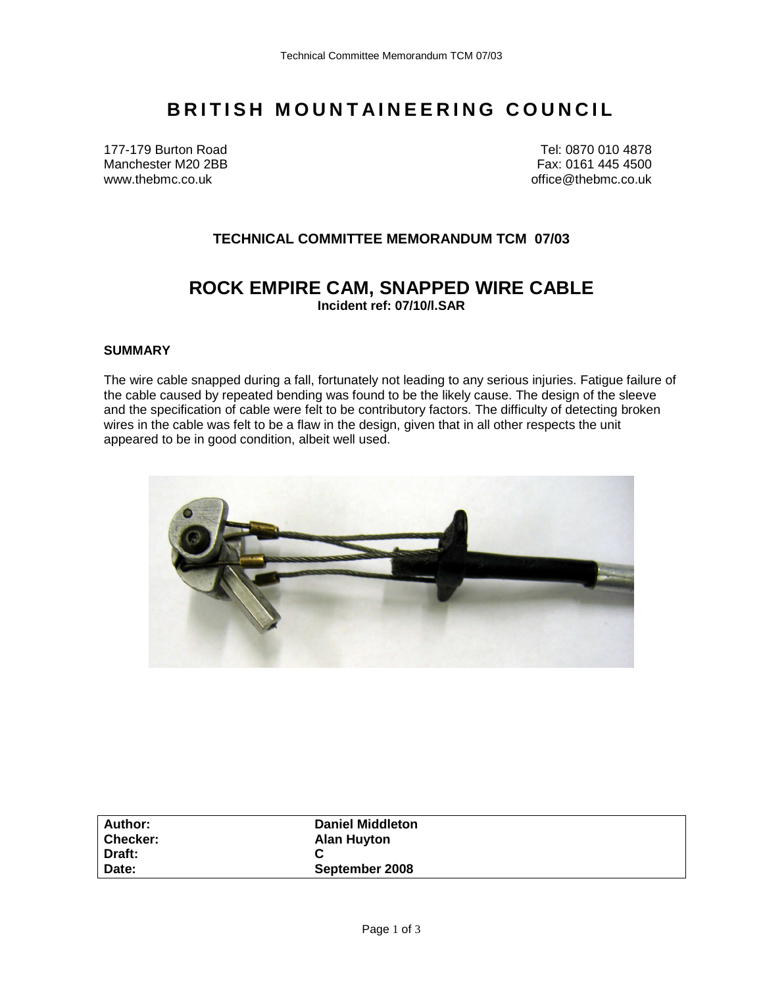# **BRITISH MOUNTAINEERING COUNCIL**

177-179 Burton Road Tel: 0870 010 4878 Manchester M20 2BB Fax: 0161 445 4500 www.thebmc.co.uk office@thebmc.co.uk

## **TECHNICAL COMMITTEE MEMORANDUM TCM 07/03**

## **ROCK EMPIRE CAM, SNAPPED WIRE CABLE Incident ref: 07/10/l.SAR**

#### **SUMMARY**

The wire cable snapped during a fall, fortunately not leading to any serious injuries. Fatigue failure of the cable caused by repeated bending was found to be the likely cause. The design of the sleeve and the specification of cable were felt to be contributory factors. The difficulty of detecting broken wires in the cable was felt to be a flaw in the design, given that in all other respects the unit appeared to be in good condition, albeit well used.



| <b>Author:</b>  | <b>Daniel Middleton</b> |  |
|-----------------|-------------------------|--|
| <b>Checker:</b> | <b>Alan Huyton</b>      |  |
| Draft:          |                         |  |
| Date:           | September 2008          |  |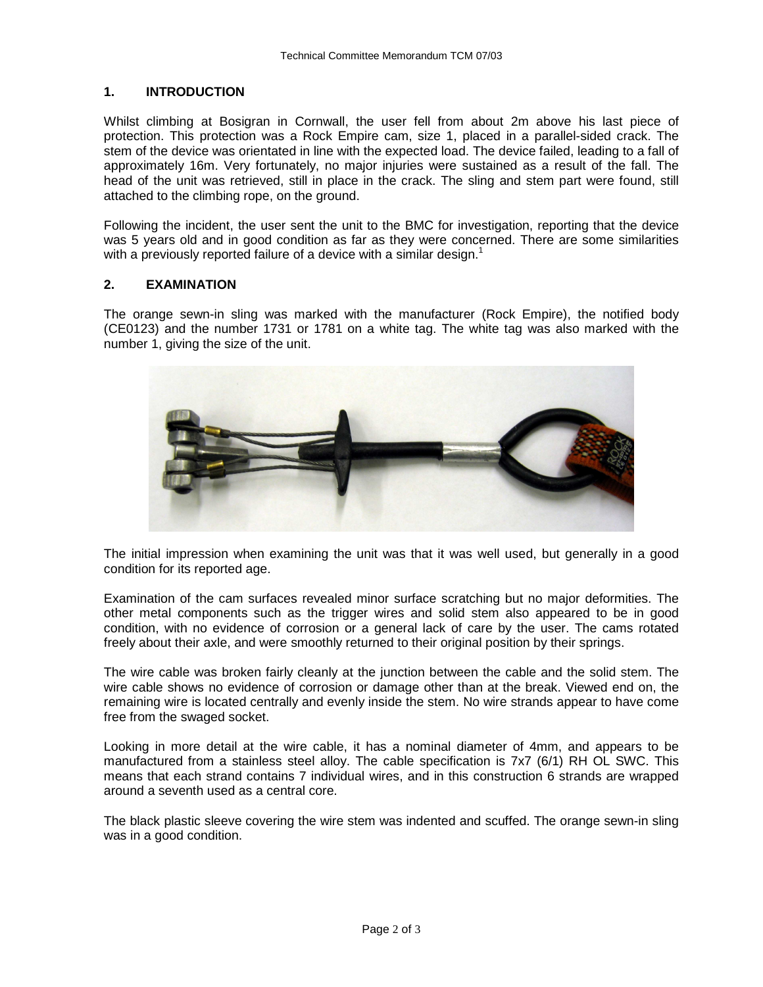### **1. INTRODUCTION**

Whilst climbing at Bosigran in Cornwall, the user fell from about 2m above his last piece of protection. This protection was a Rock Empire cam, size 1, placed in a parallel-sided crack. The stem of the device was orientated in line with the expected load. The device failed, leading to a fall of approximately 16m. Very fortunately, no major injuries were sustained as a result of the fall. The head of the unit was retrieved, still in place in the crack. The sling and stem part were found, still attached to the climbing rope, on the ground.

Following the incident, the user sent the unit to the BMC for investigation, reporting that the device was 5 years old and in good condition as far as they were concerned. There are some similarities with a previously reported failure of a device with a similar design.<sup>1</sup>

#### **2. EXAMINATION**

The orange sewn-in sling was marked with the manufacturer (Rock Empire), the notified body (CE0123) and the number 1731 or 1781 on a white tag. The white tag was also marked with the number 1, giving the size of the unit.



The initial impression when examining the unit was that it was well used, but generally in a good condition for its reported age.

Examination of the cam surfaces revealed minor surface scratching but no major deformities. The other metal components such as the trigger wires and solid stem also appeared to be in good condition, with no evidence of corrosion or a general lack of care by the user. The cams rotated freely about their axle, and were smoothly returned to their original position by their springs.

The wire cable was broken fairly cleanly at the junction between the cable and the solid stem. The wire cable shows no evidence of corrosion or damage other than at the break. Viewed end on, the remaining wire is located centrally and evenly inside the stem. No wire strands appear to have come free from the swaged socket.

Looking in more detail at the wire cable, it has a nominal diameter of 4mm, and appears to be manufactured from a stainless steel alloy. The cable specification is 7x7 (6/1) RH OL SWC. This means that each strand contains 7 individual wires, and in this construction 6 strands are wrapped around a seventh used as a central core.

The black plastic sleeve covering the wire stem was indented and scuffed. The orange sewn-in sling was in a good condition.